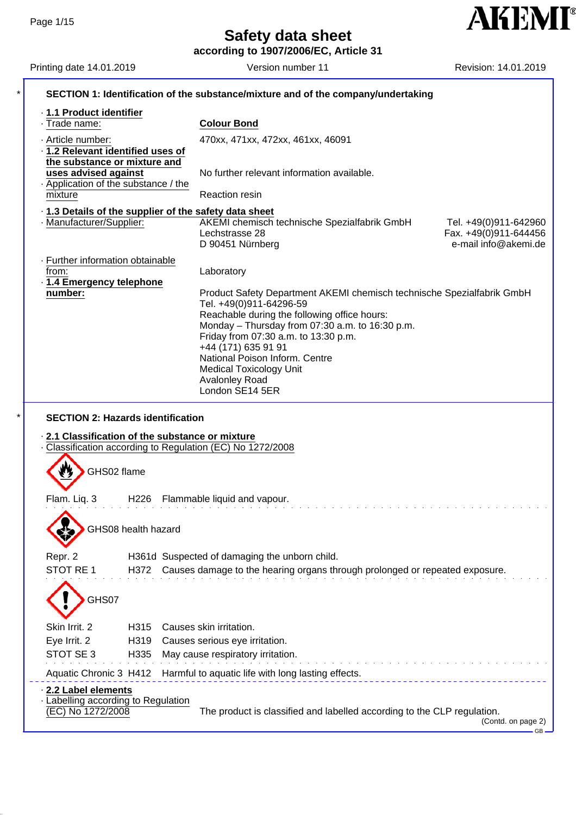**according to 1907/2006/EC, Article 31**

| Printing date 14.01.2019                                                          | Version number 11                                                                               | Revision: 14.01.2019                          |  |  |
|-----------------------------------------------------------------------------------|-------------------------------------------------------------------------------------------------|-----------------------------------------------|--|--|
| SECTION 1: Identification of the substance/mixture and of the company/undertaking |                                                                                                 |                                               |  |  |
| · 1.1 Product identifier                                                          |                                                                                                 |                                               |  |  |
| · Trade name:                                                                     | <b>Colour Bond</b>                                                                              |                                               |  |  |
| · Article number:                                                                 | 470xx, 471xx, 472xx, 461xx, 46091                                                               |                                               |  |  |
| · 1.2 Relevant identified uses of<br>the substance or mixture and                 |                                                                                                 |                                               |  |  |
| uses advised against                                                              | No further relevant information available.                                                      |                                               |  |  |
| Application of the substance / the                                                |                                                                                                 |                                               |  |  |
| mixture                                                                           | <b>Reaction resin</b>                                                                           |                                               |  |  |
|                                                                                   | .1.3 Details of the supplier of the safety data sheet                                           |                                               |  |  |
| · Manufacturer/Supplier:                                                          | AKEMI chemisch technische Spezialfabrik GmbH                                                    | Tel. +49(0)911-642960                         |  |  |
|                                                                                   | Lechstrasse 28<br>D 90451 Nürnberg                                                              | Fax. +49(0)911-644456<br>e-mail info@akemi.de |  |  |
|                                                                                   |                                                                                                 |                                               |  |  |
| · Further information obtainable<br>from:                                         | Laboratory                                                                                      |                                               |  |  |
| · 1.4 Emergency telephone                                                         |                                                                                                 |                                               |  |  |
| number:                                                                           | Product Safety Department AKEMI chemisch technische Spezialfabrik GmbH                          |                                               |  |  |
|                                                                                   | Tel. +49(0)911-64296-59                                                                         |                                               |  |  |
|                                                                                   | Reachable during the following office hours:<br>Monday - Thursday from 07:30 a.m. to 16:30 p.m. |                                               |  |  |
|                                                                                   | Friday from 07:30 a.m. to 13:30 p.m.                                                            |                                               |  |  |
|                                                                                   | +44 (171) 635 91 91                                                                             |                                               |  |  |
|                                                                                   | National Poison Inform. Centre                                                                  |                                               |  |  |
|                                                                                   | <b>Medical Toxicology Unit</b>                                                                  |                                               |  |  |
|                                                                                   |                                                                                                 |                                               |  |  |
| <b>SECTION 2: Hazards identification</b>                                          | Avalonley Road<br>London SE14 5ER                                                               |                                               |  |  |
| 2.1 Classification of the substance or mixture                                    | Classification according to Regulation (EC) No 1272/2008                                        |                                               |  |  |
|                                                                                   |                                                                                                 |                                               |  |  |
| GHS02 flame                                                                       |                                                                                                 |                                               |  |  |
|                                                                                   |                                                                                                 |                                               |  |  |
| Flam. Liq. 3                                                                      | H226 Flammable liquid and vapour.                                                               |                                               |  |  |
|                                                                                   |                                                                                                 |                                               |  |  |
| GHS08 health hazard                                                               |                                                                                                 |                                               |  |  |
|                                                                                   |                                                                                                 |                                               |  |  |
| Repr. 2                                                                           | H361d Suspected of damaging the unborn child.                                                   |                                               |  |  |
| STOT RE 1<br>H372                                                                 | Causes damage to the hearing organs through prolonged or repeated exposure.                     |                                               |  |  |
|                                                                                   |                                                                                                 |                                               |  |  |
| GHS07                                                                             |                                                                                                 |                                               |  |  |
|                                                                                   |                                                                                                 |                                               |  |  |
| Skin Irrit. 2<br>H315                                                             | Causes skin irritation.                                                                         |                                               |  |  |
| Eye Irrit. 2<br>H319                                                              | Causes serious eye irritation.                                                                  |                                               |  |  |
| STOT SE 3<br>H335                                                                 | May cause respiratory irritation.                                                               |                                               |  |  |
|                                                                                   | Aquatic Chronic 3 H412 Harmful to aquatic life with long lasting effects.                       |                                               |  |  |
| 2.2 Label elements                                                                |                                                                                                 |                                               |  |  |
| - Labelling according to Regulation<br>(EC) No 1272/2008                          | The product is classified and labelled according to the CLP regulation.                         |                                               |  |  |

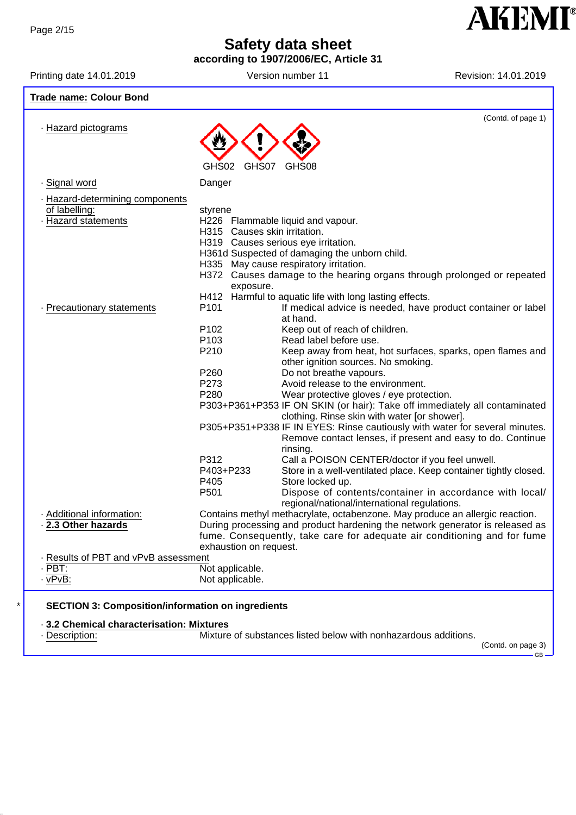**according to 1907/2006/EC, Article 31**



Printing date 14.01.2019 **Version number 11** Revision: 14.01.2019 **Revision:** 14.01.2019 **Trade name: Colour Bond** (Contd. of page 1) · Hazard pictograms GHS02 GHS07 GHS08 · Signal word Danger · Hazard-determining components of labelling: styrene · Hazard statements H226 Flammable liquid and vapour. H315 Causes skin irritation. H319 Causes serious eye irritation. H361d Suspected of damaging the unborn child. H335 May cause respiratory irritation. H372 Causes damage to the hearing organs through prolonged or repeated exposure. H412 Harmful to aquatic life with long lasting effects. · Precautionary statements P101 If medical advice is needed, have product container or label at hand. P102 Keep out of reach of children. P103 Read label before use. P210 Keep away from heat, hot surfaces, sparks, open flames and other ignition sources. No smoking. P260 Do not breathe vapours. P273 Avoid release to the environment. P280 Wear protective gloves / eye protection. P303+P361+P353 IF ON SKIN (or hair): Take off immediately all contaminated clothing. Rinse skin with water [or shower]. P305+P351+P338 IF IN EYES: Rinse cautiously with water for several minutes. Remove contact lenses, if present and easy to do. Continue rinsing. P312 Call a POISON CENTER/doctor if you feel unwell. P403+P233 Store in a well-ventilated place. Keep container tightly closed. P405 Store locked up. P501 Dispose of contents/container in accordance with local/ regional/national/international regulations. · Additional information: Contains methyl methacrylate, octabenzone. May produce an allergic reaction. · **2.3 Other hazards** During processing and product hardening the network generator is released as fume. Consequently, take care for adequate air conditioning and for fume exhaustion on request. · Results of PBT and vPvB assessment<br>PBT: No  $\frac{PBT}{VPVB}$ :  $\frac{PBT}{VPVB}$ :  $\frac{VP}{VPVB}$ : Not applicable.

#### \* **SECTION 3: Composition/information on ingredients**

#### · **3.2 Chemical characterisation: Mixtures**

· Description: Mixture of substances listed below with nonhazardous additions.

(Contd. on page 3)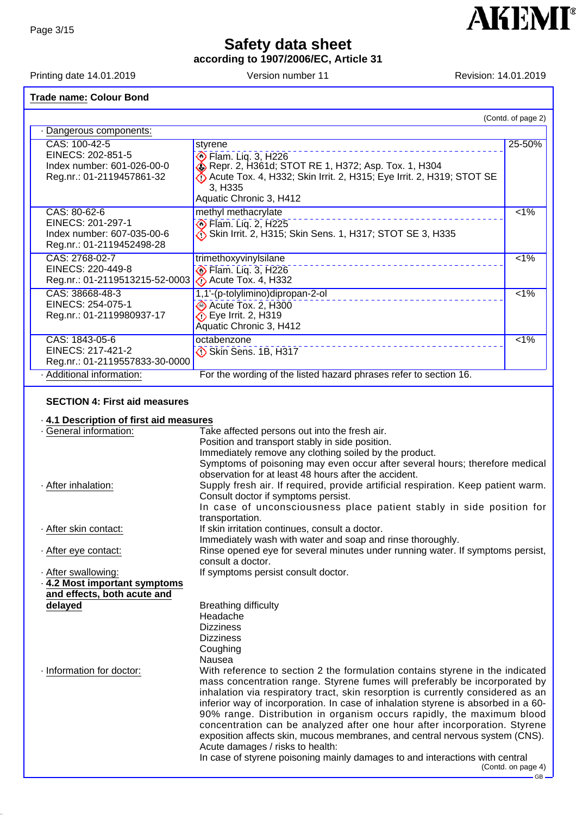**according to 1907/2006/EC, Article 31**

Printing date 14.01.2019 **Version number 11** Newsian: 14.01.2019

### **Trade name: Colour Bond**

|                                |                                                                                 | (Contd. of page 2) |
|--------------------------------|---------------------------------------------------------------------------------|--------------------|
| Dangerous components:          |                                                                                 |                    |
| CAS: 100-42-5                  | styrene                                                                         | 25-50%             |
| EINECS: 202-851-5              | <b>◆ Flam. Lig. 3, H226</b>                                                     |                    |
| Index number: 601-026-00-0     | Repr. 2, H361d; STOT RE 1, H372; Asp. Tox. 1, H304                              |                    |
| Reg.nr.: 01-2119457861-32      | Acute Tox. 4, H332; Skin Irrit. 2, H315; Eye Irrit. 2, H319; STOT SE<br>3, H335 |                    |
|                                | Aquatic Chronic 3, H412                                                         |                    |
| CAS: 80-62-6                   | methyl methacrylate                                                             | $1\%$              |
| EINECS: 201-297-1              | <b>Elam. Liq. 2, H225</b>                                                       |                    |
| Index number: 607-035-00-6     | Skin Irrit. 2, H315; Skin Sens. 1, H317; STOT SE 3, H335                        |                    |
| Reg.nr.: 01-2119452498-28      |                                                                                 |                    |
| CAS: 2768-02-7                 | trimethoxyvinylsilane                                                           | $1\%$              |
| EINECS: 220-449-8              | Flam. Liq. 3, H226                                                              |                    |
| Reg.nr.: 01-2119513215-52-0003 | $\bigcirc$ Acute Tox. 4, H332                                                   |                    |
| CAS: 38668-48-3                | 1,1'-(p-tolylimino)dipropan-2-ol                                                | $1\%$              |
| EINECS: 254-075-1              | Acute Tox. 2, H300                                                              |                    |
| Reg.nr.: 01-2119980937-17      | $\bullet$ Eye Irrit. 2, H319                                                    |                    |
|                                | Aquatic Chronic 3, H412                                                         |                    |
| CAS: 1843-05-6                 | octabenzone                                                                     | $1\%$              |
| EINECS: 217-421-2              | Skin Sens. 1B, H317                                                             |                    |
| Reg.nr.: 01-2119557833-30-0000 |                                                                                 |                    |
| · Additional information:      | For the wording of the listed hazard phrases refer to section 16.               |                    |

### **SECTION 4: First aid measures**

### · **4.1 Description of first aid measures**

| · General information:      | Take affected persons out into the fresh air.                                                                                                               |
|-----------------------------|-------------------------------------------------------------------------------------------------------------------------------------------------------------|
|                             | Position and transport stably in side position.                                                                                                             |
|                             | Immediately remove any clothing soiled by the product.                                                                                                      |
|                             | Symptoms of poisoning may even occur after several hours; therefore medical                                                                                 |
|                             | observation for at least 48 hours after the accident.                                                                                                       |
| · After inhalation:         | Supply fresh air. If required, provide artificial respiration. Keep patient warm.<br>Consult doctor if symptoms persist.                                    |
|                             | In case of unconsciousness place patient stably in side position for                                                                                        |
|                             | transportation.                                                                                                                                             |
| · After skin contact:       | If skin irritation continues, consult a doctor.                                                                                                             |
|                             | Immediately wash with water and soap and rinse thoroughly.                                                                                                  |
|                             |                                                                                                                                                             |
| · After eye contact:        | Rinse opened eye for several minutes under running water. If symptoms persist,                                                                              |
|                             | consult a doctor.                                                                                                                                           |
| · After swallowing:         | If symptoms persist consult doctor.                                                                                                                         |
| 4.2 Most important symptoms |                                                                                                                                                             |
| and effects, both acute and |                                                                                                                                                             |
| delayed                     | <b>Breathing difficulty</b>                                                                                                                                 |
|                             | Headache                                                                                                                                                    |
|                             | <b>Dizziness</b>                                                                                                                                            |
|                             | <b>Dizziness</b>                                                                                                                                            |
|                             | Coughing                                                                                                                                                    |
|                             | Nausea                                                                                                                                                      |
| · Information for doctor:   | With reference to section 2 the formulation contains styrene in the indicated<br>mass concentration range. Styrene fumes will preferably be incorporated by |
|                             | inhalation via respiratory tract, skin resorption is currently considered as an                                                                             |
|                             |                                                                                                                                                             |
|                             | inferior way of incorporation. In case of inhalation styrene is absorbed in a 60-                                                                           |
|                             | 90% range. Distribution in organism occurs rapidly, the maximum blood                                                                                       |
|                             | concentration can be analyzed after one hour after incorporation. Styrene                                                                                   |
|                             | exposition affects skin, mucous membranes, and central nervous system (CNS).                                                                                |
|                             | Acute damages / risks to health:                                                                                                                            |
|                             | In case of styrene poisoning mainly damages to and interactions with central<br>(Contd. on page 4)                                                          |
|                             | $-$ GB $-$                                                                                                                                                  |

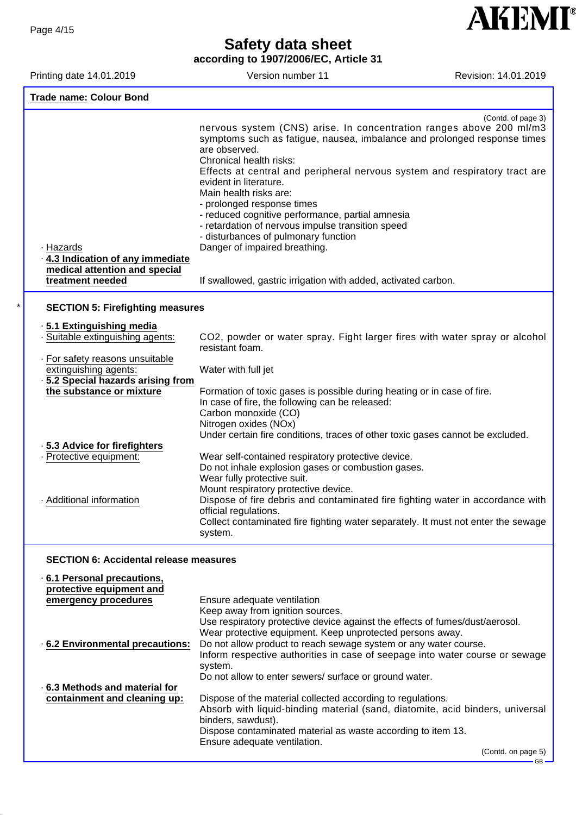**according to 1907/2006/EC, Article 31**

**AKEMI®** 

GB

Printing date 14.01.2019 Version number 11 Revision: 14.01.2019

|                                                                | (Contd. of page 3)<br>nervous system (CNS) arise. In concentration ranges above 200 ml/m3                                  |
|----------------------------------------------------------------|----------------------------------------------------------------------------------------------------------------------------|
|                                                                | symptoms such as fatigue, nausea, imbalance and prolonged response times<br>are observed.                                  |
|                                                                | Chronical health risks:                                                                                                    |
|                                                                | Effects at central and peripheral nervous system and respiratory tract are<br>evident in literature.                       |
|                                                                | Main health risks are:<br>- prolonged response times                                                                       |
|                                                                | - reduced cognitive performance, partial amnesia                                                                           |
|                                                                | - retardation of nervous impulse transition speed                                                                          |
|                                                                | - disturbances of pulmonary function                                                                                       |
| · Hazards<br>4.3 Indication of any immediate                   | Danger of impaired breathing.                                                                                              |
| medical attention and special                                  |                                                                                                                            |
| treatment needed                                               | If swallowed, gastric irrigation with added, activated carbon.                                                             |
|                                                                |                                                                                                                            |
| <b>SECTION 5: Firefighting measures</b>                        |                                                                                                                            |
| .5.1 Extinguishing media                                       |                                                                                                                            |
| · Suitable extinguishing agents:                               | CO2, powder or water spray. Fight larger fires with water spray or alcohol<br>resistant foam.                              |
| · For safety reasons unsuitable                                |                                                                                                                            |
| extinguishing agents:                                          | Water with full jet                                                                                                        |
| · 5.2 Special hazards arising from<br>the substance or mixture |                                                                                                                            |
|                                                                | Formation of toxic gases is possible during heating or in case of fire.<br>In case of fire, the following can be released: |
|                                                                | Carbon monoxide (CO)                                                                                                       |
|                                                                | Nitrogen oxides (NOx)                                                                                                      |
|                                                                | Under certain fire conditions, traces of other toxic gases cannot be excluded.                                             |
| - 5.3 Advice for firefighters                                  |                                                                                                                            |
| - Protective equipment:                                        | Wear self-contained respiratory protective device.<br>Do not inhale explosion gases or combustion gases.                   |
|                                                                | Wear fully protective suit.                                                                                                |
|                                                                | Mount respiratory protective device.                                                                                       |
| · Additional information                                       | Dispose of fire debris and contaminated fire fighting water in accordance with                                             |
|                                                                | official regulations.                                                                                                      |
|                                                                | Collect contaminated fire fighting water separately. It must not enter the sewage<br>system.                               |
|                                                                |                                                                                                                            |
| <b>SECTION 6: Accidental release measures</b>                  |                                                                                                                            |
| 6.1 Personal precautions,                                      |                                                                                                                            |
| protective equipment and                                       |                                                                                                                            |

| emergency procedures            | Ensure adequate ventilation                                                                         |
|---------------------------------|-----------------------------------------------------------------------------------------------------|
|                                 | Keep away from ignition sources.                                                                    |
|                                 | Use respiratory protective device against the effects of fumes/dust/aerosol.                        |
|                                 | Wear protective equipment. Keep unprotected persons away.                                           |
| .6.2 Environmental precautions: | Do not allow product to reach sewage system or any water course.                                    |
|                                 | Inform respective authorities in case of seepage into water course or sewage                        |
|                                 | system.                                                                                             |
|                                 | Do not allow to enter sewers/ surface or ground water.                                              |
| 6.3 Methods and material for    |                                                                                                     |
| containment and cleaning up:    | Dispose of the material collected according to regulations.                                         |
|                                 | Absorb with liquid-binding material (sand, diatomite, acid binders, universal<br>binders, sawdust). |
|                                 | Dispose contaminated material as waste according to item 13.                                        |
|                                 | Ensure adequate ventilation.                                                                        |
|                                 | (Contd. on page 5)                                                                                  |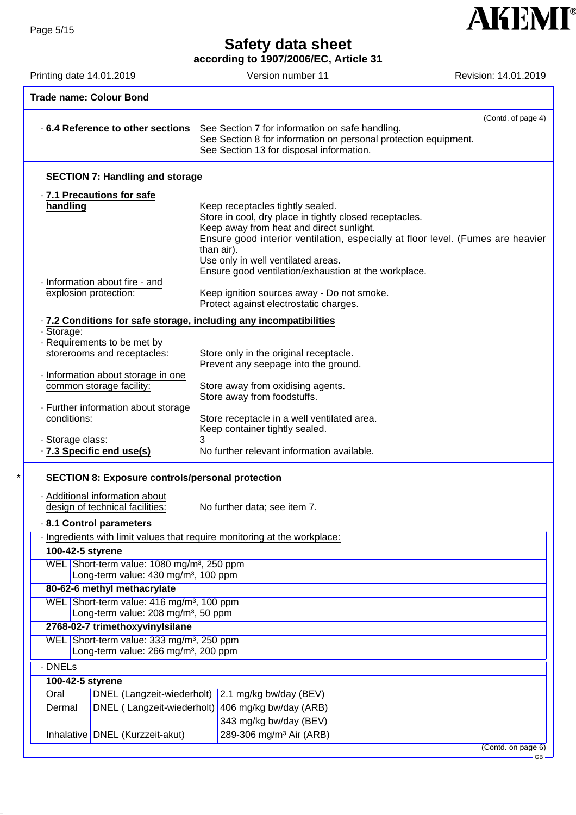**according to 1907/2006/EC, Article 31**

Printing date 14.01.2019 **Version number 11** Revision: 14.01.2019

**AKEMI®** 

| <b>Trade name: Colour Bond</b>                                                                             |                                                                                                                                                                                                                                                                                                                                        |  |
|------------------------------------------------------------------------------------------------------------|----------------------------------------------------------------------------------------------------------------------------------------------------------------------------------------------------------------------------------------------------------------------------------------------------------------------------------------|--|
| 6.4 Reference to other sections                                                                            | (Contd. of page 4)<br>See Section 7 for information on safe handling.<br>See Section 8 for information on personal protection equipment.<br>See Section 13 for disposal information.                                                                                                                                                   |  |
| <b>SECTION 7: Handling and storage</b>                                                                     |                                                                                                                                                                                                                                                                                                                                        |  |
| · 7.1 Precautions for safe                                                                                 |                                                                                                                                                                                                                                                                                                                                        |  |
| handling<br>· Information about fire - and                                                                 | Keep receptacles tightly sealed.<br>Store in cool, dry place in tightly closed receptacles.<br>Keep away from heat and direct sunlight.<br>Ensure good interior ventilation, especially at floor level. (Fumes are heavier<br>than air).<br>Use only in well ventilated areas.<br>Ensure good ventilation/exhaustion at the workplace. |  |
| explosion protection:                                                                                      | Keep ignition sources away - Do not smoke.<br>Protect against electrostatic charges.                                                                                                                                                                                                                                                   |  |
| · 7.2 Conditions for safe storage, including any incompatibilities                                         |                                                                                                                                                                                                                                                                                                                                        |  |
| · Storage:                                                                                                 |                                                                                                                                                                                                                                                                                                                                        |  |
| Requirements to be met by<br>storerooms and receptacles:                                                   | Store only in the original receptacle.<br>Prevent any seepage into the ground.                                                                                                                                                                                                                                                         |  |
| · Information about storage in one<br>common storage facility:                                             | Store away from oxidising agents.<br>Store away from foodstuffs.                                                                                                                                                                                                                                                                       |  |
| Further information about storage<br>conditions:                                                           | Store receptacle in a well ventilated area.<br>Keep container tightly sealed.                                                                                                                                                                                                                                                          |  |
| · Storage class:<br>.7.3 Specific end use(s)                                                               | No further relevant information available.                                                                                                                                                                                                                                                                                             |  |
| <b>SECTION 8: Exposure controls/personal protection</b>                                                    |                                                                                                                                                                                                                                                                                                                                        |  |
| · Additional information about<br>design of technical facilities:                                          | No further data; see item 7.                                                                                                                                                                                                                                                                                                           |  |
| 8.1 Control parameters                                                                                     |                                                                                                                                                                                                                                                                                                                                        |  |
| Ingredients with limit values that require monitoring at the workplace:                                    |                                                                                                                                                                                                                                                                                                                                        |  |
| 100-42-5 styrene                                                                                           |                                                                                                                                                                                                                                                                                                                                        |  |
| WEL Short-term value: 1080 mg/m <sup>3</sup> , 250 ppm<br>Long-term value: 430 mg/m <sup>3</sup> , 100 ppm |                                                                                                                                                                                                                                                                                                                                        |  |
| 80-62-6 methyl methacrylate<br>WEL Short-term value: 416 mg/m <sup>3</sup> , 100 ppm                       |                                                                                                                                                                                                                                                                                                                                        |  |
| Long-term value: 208 mg/m <sup>3</sup> , 50 ppm                                                            |                                                                                                                                                                                                                                                                                                                                        |  |
| 2768-02-7 trimethoxyvinylsilane                                                                            |                                                                                                                                                                                                                                                                                                                                        |  |
| WEL Short-term value: 333 mg/m <sup>3</sup> , 250 ppm<br>Long-term value: 266 mg/m <sup>3</sup> , 200 ppm  |                                                                                                                                                                                                                                                                                                                                        |  |
| $\cdot$ DNELs                                                                                              |                                                                                                                                                                                                                                                                                                                                        |  |
| 100-42-5 styrene                                                                                           |                                                                                                                                                                                                                                                                                                                                        |  |
| Oral                                                                                                       | DNEL (Langzeit-wiederholt) 2.1 mg/kg bw/day (BEV)                                                                                                                                                                                                                                                                                      |  |
| Dermal                                                                                                     | DNEL (Langzeit-wiederholt) 406 mg/kg bw/day (ARB)                                                                                                                                                                                                                                                                                      |  |
| Inhalative   DNEL (Kurzzeit-akut)                                                                          | 343 mg/kg bw/day (BEV)<br>289-306 mg/m <sup>3</sup> Air (ARB)                                                                                                                                                                                                                                                                          |  |
|                                                                                                            | (Contd. on page 6)<br>$GB -$                                                                                                                                                                                                                                                                                                           |  |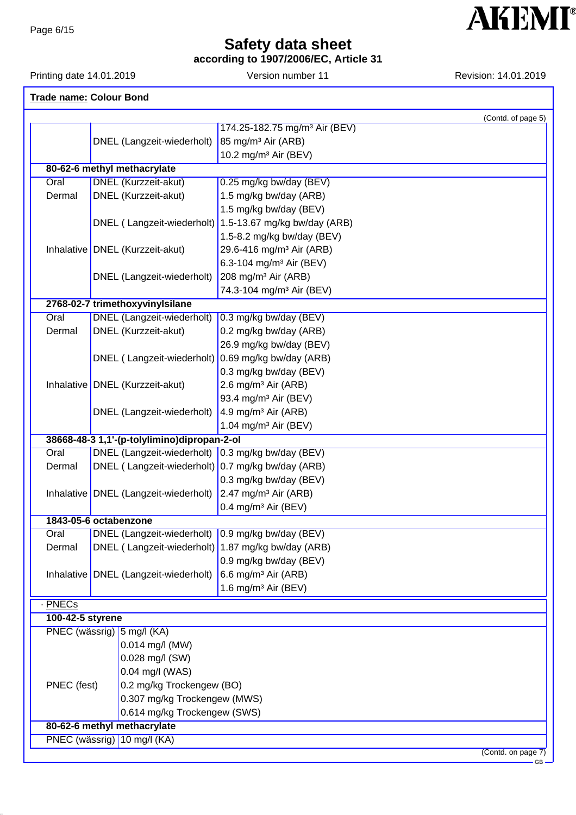**according to 1907/2006/EC, Article 31**

Printing date 14.01.2019 **Version number 11** Revision: 14.01.2019

| <b>Trade name: Colour Bond</b>                              |                                                    |                                                         |
|-------------------------------------------------------------|----------------------------------------------------|---------------------------------------------------------|
|                                                             |                                                    | (Contd. of page 5)                                      |
|                                                             |                                                    | 174.25-182.75 mg/m <sup>3</sup> Air (BEV)               |
|                                                             | DNEL (Langzeit-wiederholt)                         | 85 mg/m <sup>3</sup> Air (ARB)                          |
|                                                             |                                                    | 10.2 mg/m <sup>3</sup> Air (BEV)                        |
|                                                             | 80-62-6 methyl methacrylate                        |                                                         |
| Oral                                                        | <b>DNEL</b> (Kurzzeit-akut)                        | 0.25 mg/kg bw/day (BEV)                                 |
| Dermal                                                      | DNEL (Kurzzeit-akut)                               | 1.5 mg/kg bw/day (ARB)                                  |
|                                                             |                                                    | 1.5 mg/kg bw/day (BEV)                                  |
|                                                             |                                                    | DNEL (Langzeit-wiederholt) 1.5-13.67 mg/kg bw/day (ARB) |
|                                                             |                                                    | 1.5-8.2 mg/kg bw/day (BEV)                              |
|                                                             | Inhalative   DNEL (Kurzzeit-akut)                  | 29.6-416 mg/m <sup>3</sup> Air (ARB)                    |
|                                                             |                                                    | 6.3-104 mg/m <sup>3</sup> Air (BEV)                     |
|                                                             | DNEL (Langzeit-wiederholt)                         | 208 mg/m <sup>3</sup> Air (ARB)                         |
|                                                             |                                                    | 74.3-104 mg/m <sup>3</sup> Air (BEV)                    |
|                                                             | 2768-02-7 trimethoxyvinylsilane                    |                                                         |
| Oral                                                        | <b>DNEL</b> (Langzeit-wiederholt)                  | 0.3 mg/kg bw/day (BEV)                                  |
| Dermal                                                      | DNEL (Kurzzeit-akut)                               | 0.2 mg/kg bw/day (ARB)                                  |
|                                                             |                                                    | 26.9 mg/kg bw/day (BEV)                                 |
|                                                             | DNEL (Langzeit-wiederholt)                         | 0.69 mg/kg bw/day (ARB)                                 |
|                                                             |                                                    | 0.3 mg/kg bw/day (BEV)                                  |
|                                                             | Inhalative   DNEL (Kurzzeit-akut)                  | 2.6 mg/m <sup>3</sup> Air (ARB)                         |
|                                                             |                                                    | 93.4 mg/m <sup>3</sup> Air (BEV)                        |
|                                                             | DNEL (Langzeit-wiederholt)                         | 4.9 mg/m <sup>3</sup> Air (ARB)                         |
|                                                             |                                                    | 1.04 mg/m <sup>3</sup> Air (BEV)                        |
|                                                             | 38668-48-3 1,1'-(p-tolylimino)dipropan-2-ol        |                                                         |
| Oral                                                        | <b>DNEL</b> (Langzeit-wiederholt)                  | 0.3 mg/kg bw/day (BEV)                                  |
| Dermal                                                      | DNEL (Langzeit-wiederholt) 0.7 mg/kg bw/day (ARB)  |                                                         |
|                                                             |                                                    | 0.3 mg/kg bw/day (BEV)                                  |
|                                                             | Inhalative DNEL (Langzeit-wiederholt)              | 2.47 mg/m <sup>3</sup> Air (ARB)                        |
|                                                             |                                                    | 0.4 mg/m <sup>3</sup> Air (BEV)                         |
|                                                             | 1843-05-6 octabenzone                              |                                                         |
| Oral                                                        | DNEL (Langzeit-wiederholt)                         | $0.9$ mg/kg bw/day (BEV)                                |
| Dermal                                                      | DNEL (Langzeit-wiederholt) 1.87 mg/kg bw/day (ARB) |                                                         |
|                                                             |                                                    | 0.9 mg/kg bw/day (BEV)                                  |
|                                                             | Inhalative   DNEL (Langzeit-wiederholt)            | 6.6 mg/m <sup>3</sup> Air (ARB)                         |
|                                                             |                                                    | 1.6 mg/m <sup>3</sup> Air (BEV)                         |
|                                                             |                                                    |                                                         |
| - PNECs<br>100-42-5 styrene                                 |                                                    |                                                         |
| PNEC (wässrig) 5 mg/l (KA)                                  |                                                    |                                                         |
|                                                             | 0.014 mg/l (MW)                                    |                                                         |
|                                                             | 0.028 mg/l (SW)                                    |                                                         |
|                                                             | 0.04 mg/l (WAS)                                    |                                                         |
|                                                             |                                                    |                                                         |
| PNEC (fest)                                                 | 0.2 mg/kg Trockengew (BO)                          |                                                         |
|                                                             | 0.307 mg/kg Trockengew (MWS)                       |                                                         |
| 0.614 mg/kg Trockengew (SWS)<br>80-62-6 methyl methacrylate |                                                    |                                                         |
|                                                             | PNEC (wässrig) 10 mg/l (KA)                        |                                                         |
|                                                             |                                                    | (Contd. on page 7)                                      |

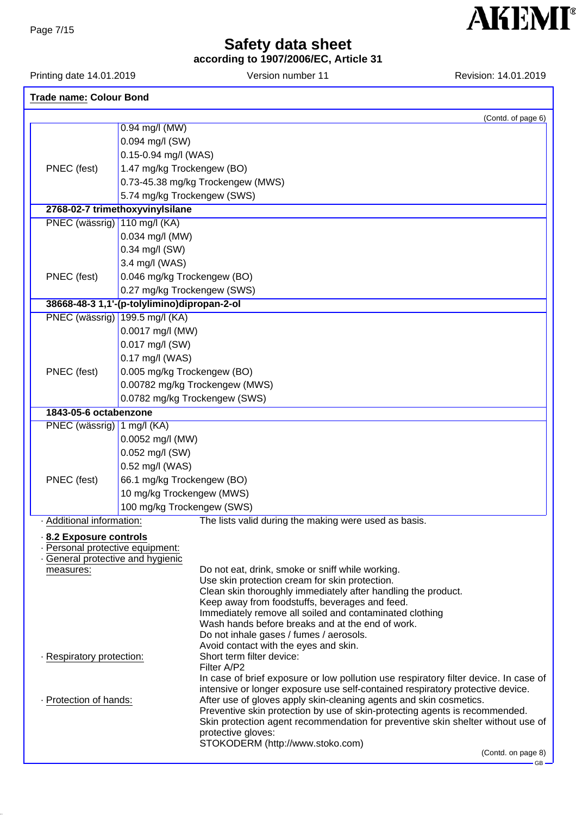**according to 1907/2006/EC, Article 31**

Printing date 14.01.2019 **Version number 11** Revision: 14.01.2019 **Revision:** 14.01.2019

| <b>Trade name: Colour Bond</b>                                      |                                                                                                           |  |  |  |
|---------------------------------------------------------------------|-----------------------------------------------------------------------------------------------------------|--|--|--|
|                                                                     | (Contd. of page 6)                                                                                        |  |  |  |
|                                                                     | 0.94 mg/l (MW)                                                                                            |  |  |  |
|                                                                     | 0.094 mg/l (SW)                                                                                           |  |  |  |
|                                                                     | 0.15-0.94 mg/l (WAS)                                                                                      |  |  |  |
| PNEC (fest)                                                         | 1.47 mg/kg Trockengew (BO)                                                                                |  |  |  |
|                                                                     | 0.73-45.38 mg/kg Trockengew (MWS)                                                                         |  |  |  |
|                                                                     | 5.74 mg/kg Trockengew (SWS)                                                                               |  |  |  |
|                                                                     | 2768-02-7 trimethoxyvinylsilane                                                                           |  |  |  |
| PNEC (wässrig)   110 mg/l (KA)                                      |                                                                                                           |  |  |  |
|                                                                     | 0.034 mg/l (MW)                                                                                           |  |  |  |
|                                                                     | 0.34 mg/l (SW)                                                                                            |  |  |  |
|                                                                     | 3.4 mg/l (WAS)                                                                                            |  |  |  |
| PNEC (fest)                                                         | 0.046 mg/kg Trockengew (BO)                                                                               |  |  |  |
|                                                                     | 0.27 mg/kg Trockengew (SWS)                                                                               |  |  |  |
|                                                                     | 38668-48-3 1,1'-(p-tolylimino)dipropan-2-ol                                                               |  |  |  |
| PNEC (wässrig) 199.5 mg/l (KA)                                      |                                                                                                           |  |  |  |
|                                                                     | 0.0017 mg/l (MW)                                                                                          |  |  |  |
|                                                                     | 0.017 mg/l (SW)                                                                                           |  |  |  |
|                                                                     | 0.17 mg/l (WAS)                                                                                           |  |  |  |
| PNEC (fest)                                                         | 0.005 mg/kg Trockengew (BO)                                                                               |  |  |  |
|                                                                     | 0.00782 mg/kg Trockengew (MWS)                                                                            |  |  |  |
|                                                                     | 0.0782 mg/kg Trockengew (SWS)                                                                             |  |  |  |
| 1843-05-6 octabenzone                                               |                                                                                                           |  |  |  |
| PNEC (wässrig)   1 mg/l (KA)                                        |                                                                                                           |  |  |  |
|                                                                     | 0.0052 mg/l (MW)                                                                                          |  |  |  |
|                                                                     | 0.052 mg/l (SW)                                                                                           |  |  |  |
|                                                                     | 0.52 mg/l (WAS)                                                                                           |  |  |  |
| PNEC (fest)                                                         | 66.1 mg/kg Trockengew (BO)                                                                                |  |  |  |
|                                                                     | 10 mg/kg Trockengew (MWS)                                                                                 |  |  |  |
|                                                                     | 100 mg/kg Trockengew (SWS)                                                                                |  |  |  |
| · Additional information:                                           | The lists valid during the making were used as basis.                                                     |  |  |  |
|                                                                     |                                                                                                           |  |  |  |
| 8.2 Exposure controls                                               |                                                                                                           |  |  |  |
| · Personal protective equipment:<br>General protective and hygienic |                                                                                                           |  |  |  |
| measures:                                                           | Do not eat, drink, smoke or sniff while working.                                                          |  |  |  |
|                                                                     | Use skin protection cream for skin protection.                                                            |  |  |  |
|                                                                     | Clean skin thoroughly immediately after handling the product.                                             |  |  |  |
|                                                                     | Keep away from foodstuffs, beverages and feed.<br>Immediately remove all soiled and contaminated clothing |  |  |  |
|                                                                     | Wash hands before breaks and at the end of work.                                                          |  |  |  |
|                                                                     | Do not inhale gases / fumes / aerosols.                                                                   |  |  |  |
|                                                                     | Avoid contact with the eyes and skin.                                                                     |  |  |  |
| · Respiratory protection:                                           | Short term filter device:<br>Filter A/P2                                                                  |  |  |  |
|                                                                     | In case of brief exposure or low pollution use respiratory filter device. In case of                      |  |  |  |
|                                                                     | intensive or longer exposure use self-contained respiratory protective device.                            |  |  |  |
| · Protection of hands:                                              | After use of gloves apply skin-cleaning agents and skin cosmetics.                                        |  |  |  |
|                                                                     | Preventive skin protection by use of skin-protecting agents is recommended.                               |  |  |  |
|                                                                     | Skin protection agent recommendation for preventive skin shelter without use of<br>protective gloves:     |  |  |  |
|                                                                     | STOKODERM (http://www.stoko.com)                                                                          |  |  |  |
|                                                                     | (Contd. on page 8)                                                                                        |  |  |  |

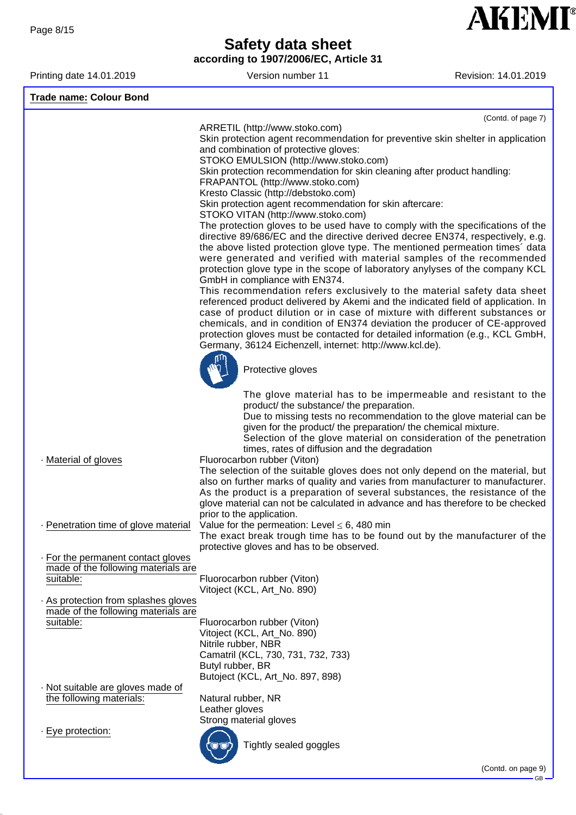**according to 1907/2006/EC, Article 31**

Printing date 14.01.2019 **Version number 11** Revision: 14.01.2019

**AKEMI®** 

| <b>Trade name: Colour Bond</b>                                                         |                                                                                                                                                                                                                                                                                                                                                                                                                                                                        |
|----------------------------------------------------------------------------------------|------------------------------------------------------------------------------------------------------------------------------------------------------------------------------------------------------------------------------------------------------------------------------------------------------------------------------------------------------------------------------------------------------------------------------------------------------------------------|
|                                                                                        | (Contd. of page 7)                                                                                                                                                                                                                                                                                                                                                                                                                                                     |
|                                                                                        | ARRETIL (http://www.stoko.com)<br>Skin protection agent recommendation for preventive skin shelter in application<br>and combination of protective gloves:<br>STOKO EMULSION (http://www.stoko.com)<br>Skin protection recommendation for skin cleaning after product handling:<br>FRAPANTOL (http://www.stoko.com)<br>Kresto Classic (http://debstoko.com)<br>Skin protection agent recommendation for skin aftercare:<br>STOKO VITAN (http://www.stoko.com)          |
|                                                                                        | The protection gloves to be used have to comply with the specifications of the<br>directive 89/686/EC and the directive derived decree EN374, respectively, e.g.<br>the above listed protection glove type. The mentioned permeation times' data<br>were generated and verified with material samples of the recommended<br>protection glove type in the scope of laboratory anylyses of the company KCL<br>GmbH in compliance with EN374.                             |
|                                                                                        | This recommendation refers exclusively to the material safety data sheet<br>referenced product delivered by Akemi and the indicated field of application. In<br>case of product dilution or in case of mixture with different substances or<br>chemicals, and in condition of EN374 deviation the producer of CE-approved<br>protection gloves must be contacted for detailed information (e.g., KCL GmbH,<br>Germany, 36124 Eichenzell, internet: http://www.kcl.de). |
|                                                                                        | Protective gloves                                                                                                                                                                                                                                                                                                                                                                                                                                                      |
|                                                                                        | The glove material has to be impermeable and resistant to the<br>product/ the substance/ the preparation.<br>Due to missing tests no recommendation to the glove material can be<br>given for the product/ the preparation/ the chemical mixture.<br>Selection of the glove material on consideration of the penetration<br>times, rates of diffusion and the degradation                                                                                              |
| Material of gloves                                                                     | Fluorocarbon rubber (Viton)<br>The selection of the suitable gloves does not only depend on the material, but<br>also on further marks of quality and varies from manufacturer to manufacturer.<br>As the product is a preparation of several substances, the resistance of the<br>glove material can not be calculated in advance and has therefore to be checked<br>prior to the application.                                                                        |
|                                                                                        | - Penetration time of glove material Value for the permeation: Level $\leq 6$ , 480 min<br>The exact break trough time has to be found out by the manufacturer of the<br>protective gloves and has to be observed.                                                                                                                                                                                                                                                     |
| . For the permanent contact gloves<br>made of the following materials are<br>suitable: | Fluorocarbon rubber (Viton)<br>Vitoject (KCL, Art_No. 890)                                                                                                                                                                                                                                                                                                                                                                                                             |
| As protection from splashes gloves<br>made of the following materials are<br>suitable: | Fluorocarbon rubber (Viton)<br>Vitoject (KCL, Art_No. 890)<br>Nitrile rubber, NBR<br>Camatril (KCL, 730, 731, 732, 733)<br>Butyl rubber, BR<br>Butoject (KCL, Art_No. 897, 898)                                                                                                                                                                                                                                                                                        |
| · Not suitable are gloves made of<br>the following materials:                          | Natural rubber, NR<br>Leather gloves                                                                                                                                                                                                                                                                                                                                                                                                                                   |
| · Eye protection:                                                                      | Strong material gloves<br>Tightly sealed goggles                                                                                                                                                                                                                                                                                                                                                                                                                       |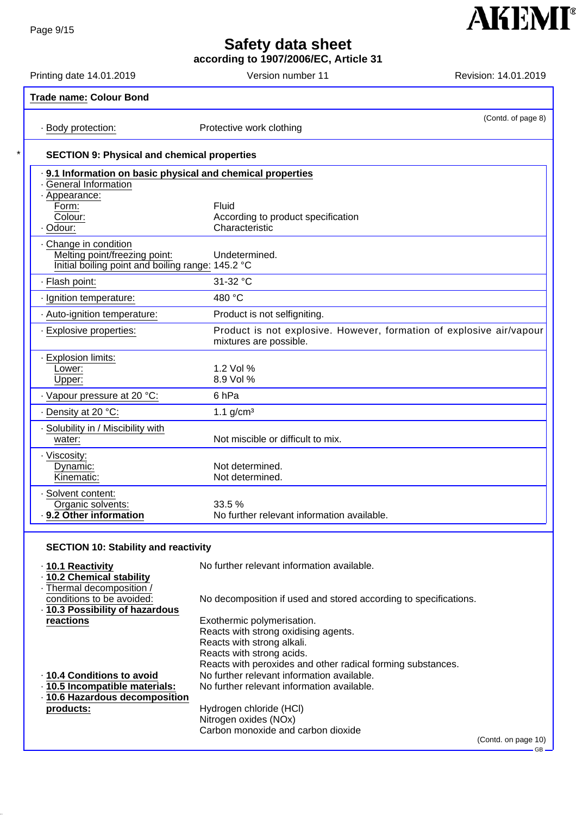**according to 1907/2006/EC, Article 31**

Printing date 14.01.2019 **Version number 11** Revision: 14.01.2019

**AKEMI®** 

| · Body protection:                                          | (Contd. of page 8)<br>Protective work clothing                                                 |
|-------------------------------------------------------------|------------------------------------------------------------------------------------------------|
| <b>SECTION 9: Physical and chemical properties</b>          |                                                                                                |
| . 9.1 Information on basic physical and chemical properties |                                                                                                |
| - General Information<br>- Appearance:                      |                                                                                                |
| Form:                                                       | Fluid                                                                                          |
| Colour:                                                     | According to product specification                                                             |
| · Odour:                                                    | Characteristic                                                                                 |
| Change in condition                                         |                                                                                                |
| Melting point/freezing point:                               | Undetermined.                                                                                  |
| Initial boiling point and boiling range: 145.2 °C           |                                                                                                |
| · Flash point:                                              | 31-32 °C                                                                                       |
| · Ignition temperature:                                     | 480 °C                                                                                         |
| - Auto-ignition temperature:                                | Product is not selfigniting.                                                                   |
| · Explosive properties:                                     | Product is not explosive. However, formation of explosive air/vapour<br>mixtures are possible. |
| - Explosion limits:                                         |                                                                                                |
| Lower:                                                      | 1.2 Vol %                                                                                      |
| Upper:                                                      | 8.9 Vol %                                                                                      |
| Vapour pressure at 20 °C:                                   | 6 <sub>hPa</sub>                                                                               |
| · Density at 20 °C:                                         | 1.1 $g/cm3$                                                                                    |
| · Solubility in / Miscibility with                          |                                                                                                |
| water:                                                      | Not miscible or difficult to mix.                                                              |
| · Viscosity:                                                |                                                                                                |
| Dynamic:                                                    | Not determined.                                                                                |
| Kinematic:                                                  | Not determined.                                                                                |
| · Solvent content:                                          |                                                                                                |
| Organic solvents:                                           | 33.5 %                                                                                         |
| 9.2 Other information                                       | No further relevant information available.                                                     |

| · 10.1 Reactivity             | No further relevant information available.                       |                     |
|-------------------------------|------------------------------------------------------------------|---------------------|
| · 10.2 Chemical stability     |                                                                  |                     |
| . Thermal decomposition /     |                                                                  |                     |
| conditions to be avoided:     | No decomposition if used and stored according to specifications. |                     |
| 10.3 Possibility of hazardous |                                                                  |                     |
| reactions                     | Exothermic polymerisation.                                       |                     |
|                               | Reacts with strong oxidising agents.                             |                     |
|                               | Reacts with strong alkali.                                       |                     |
|                               | Reacts with strong acids.                                        |                     |
|                               | Reacts with peroxides and other radical forming substances.      |                     |
| ⋅ 10.4 Conditions to avoid    | No further relevant information available.                       |                     |
| 10.5 Incompatible materials:  | No further relevant information available.                       |                     |
| 10.6 Hazardous decomposition  |                                                                  |                     |
| products:                     | Hydrogen chloride (HCI)                                          |                     |
|                               | Nitrogen oxides (NOx)                                            |                     |
|                               | Carbon monoxide and carbon dioxide                               |                     |
|                               |                                                                  | (Contd. on page 10) |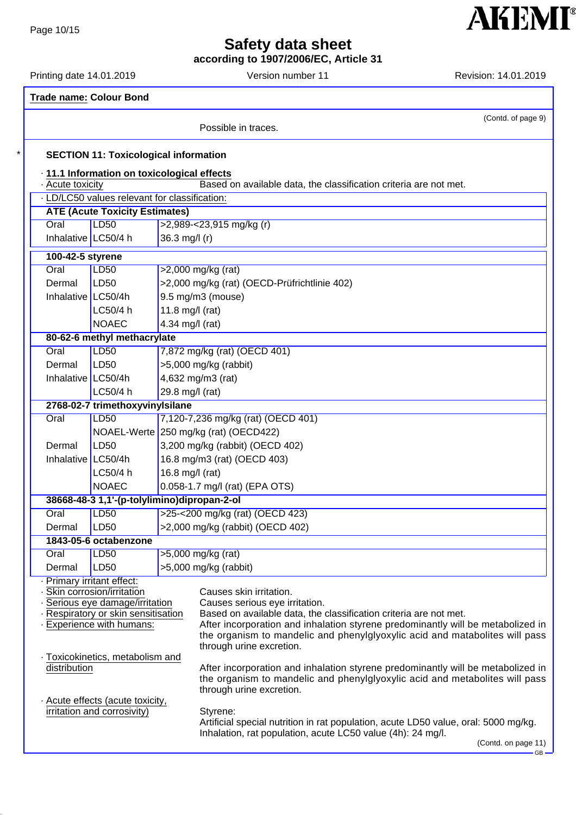**according to 1907/2006/EC, Article 31**

Printing date 14.01.2019 **Version number 11** Revision: 14.01.2019

**AKEMI®** 

|  | <b>Trade name: Colour Bond</b>                                   |                                               |                 |                                                                                                     |                     |
|--|------------------------------------------------------------------|-----------------------------------------------|-----------------|-----------------------------------------------------------------------------------------------------|---------------------|
|  |                                                                  |                                               |                 | Possible in traces.                                                                                 | (Contd. of page 9)  |
|  |                                                                  | <b>SECTION 11: Toxicological information</b>  |                 |                                                                                                     |                     |
|  |                                                                  | · 11.1 Information on toxicological effects   |                 |                                                                                                     |                     |
|  | - Acute toxicity                                                 |                                               |                 | Based on available data, the classification criteria are not met.                                   |                     |
|  |                                                                  | . LD/LC50 values relevant for classification: |                 |                                                                                                     |                     |
|  |                                                                  | <b>ATE (Acute Toxicity Estimates)</b>         |                 |                                                                                                     |                     |
|  | Oral                                                             | LD50                                          |                 | >2,989-<23,915 mg/kg (r)                                                                            |                     |
|  | Inhalative   LC50/4 h                                            |                                               | 36.3 mg/l (r)   |                                                                                                     |                     |
|  | 100-42-5 styrene                                                 |                                               |                 |                                                                                                     |                     |
|  | Oral                                                             | <b>LD50</b>                                   |                 | $>2,000$ mg/kg (rat)                                                                                |                     |
|  | Dermal                                                           | LD50                                          |                 | >2,000 mg/kg (rat) (OECD-Prüfrichtlinie 402)                                                        |                     |
|  | Inhalative $LC50/4h$                                             |                                               |                 | 9.5 mg/m3 (mouse)                                                                                   |                     |
|  |                                                                  | LC50/4 h                                      | 11.8 mg/l (rat) |                                                                                                     |                     |
|  |                                                                  | <b>NOAEC</b>                                  | 4.34 mg/l (rat) |                                                                                                     |                     |
|  |                                                                  | 80-62-6 methyl methacrylate                   |                 |                                                                                                     |                     |
|  | Oral                                                             | <b>LD50</b>                                   |                 | 7,872 mg/kg (rat) (OECD 401)                                                                        |                     |
|  | Dermal                                                           | LD50                                          |                 | $>5,000$ mg/kg (rabbit)                                                                             |                     |
|  | Inhalative $LC50/4h$                                             |                                               |                 | 4,632 mg/m3 (rat)                                                                                   |                     |
|  |                                                                  | LC50/4 h                                      | 29.8 mg/l (rat) |                                                                                                     |                     |
|  |                                                                  | 2768-02-7 trimethoxyvinylsilane               |                 |                                                                                                     |                     |
|  | Oral                                                             | <b>LD50</b>                                   |                 | 7,120-7,236 mg/kg (rat) (OECD 401)                                                                  |                     |
|  |                                                                  |                                               |                 | NOAEL-Werte 250 mg/kg (rat) (OECD422)                                                               |                     |
|  | Dermal                                                           | LD50                                          |                 | 3,200 mg/kg (rabbit) (OECD 402)<br>16.8 mg/m3 (rat) (OECD 403)<br>16.8 mg/l (rat)                   |                     |
|  | Inhalative $LC50/4h$                                             | LC50/4 h                                      |                 |                                                                                                     |                     |
|  |                                                                  | <b>NOAEC</b>                                  |                 | 0.058-1.7 mg/l (rat) (EPA OTS)                                                                      |                     |
|  |                                                                  | 38668-48-3 1,1'-(p-tolylimino)dipropan-2-ol   |                 |                                                                                                     |                     |
|  | Oral                                                             | <b>LD50</b>                                   |                 | >25-<200 mg/kg (rat) (OECD 423)                                                                     |                     |
|  | Dermal                                                           | LD50                                          |                 | >2,000 mg/kg (rabbit) (OECD 402)                                                                    |                     |
|  |                                                                  | 1843-05-6 octabenzone                         |                 |                                                                                                     |                     |
|  | Oral                                                             | LD50                                          |                 | >5,000 mg/kg (rat)                                                                                  |                     |
|  | Dermal                                                           | LD50                                          |                 | $>5,000$ mg/kg (rabbit)                                                                             |                     |
|  | · Primary irritant effect:                                       |                                               |                 |                                                                                                     |                     |
|  |                                                                  | · Skin corrosion/irritation                   |                 | Causes skin irritation.                                                                             |                     |
|  |                                                                  | Serious eye damage/irritation                 |                 | Causes serious eye irritation.<br>Based on available data, the classification criteria are not met. |                     |
|  | · Respiratory or skin sensitisation<br>· Experience with humans: |                                               |                 | After incorporation and inhalation styrene predominantly will be metabolized in                     |                     |
|  |                                                                  |                                               |                 | the organism to mandelic and phenylglyoxylic acid and matabolites will pass                         |                     |
|  | · Toxicokinetics, metabolism and<br>distribution                 |                                               |                 | through urine excretion.                                                                            |                     |
|  |                                                                  |                                               |                 | After incorporation and inhalation styrene predominantly will be metabolized in                     |                     |
|  |                                                                  |                                               |                 | the organism to mandelic and phenylglyoxylic acid and metabolites will pass                         |                     |
|  |                                                                  |                                               |                 | through urine excretion.                                                                            |                     |
|  | Acute effects (acute toxicity,<br>irritation and corrosivity)    |                                               |                 | Styrene:                                                                                            |                     |
|  |                                                                  |                                               |                 | Artificial special nutrition in rat population, acute LD50 value, oral: 5000 mg/kg.                 |                     |
|  |                                                                  |                                               |                 | Inhalation, rat population, acute LC50 value (4h): 24 mg/l.                                         |                     |
|  |                                                                  |                                               |                 |                                                                                                     | (Contd. on page 11) |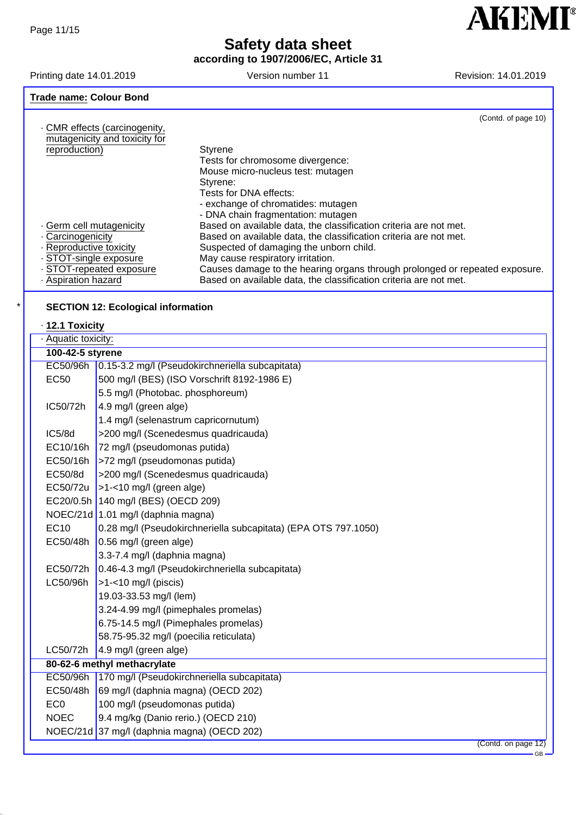**according to 1907/2006/EC, Article 31**

Printing date 14.01.2019 Version number 11 Version number 11 Version: 14.01.2019

**AKEMI**<sup>®</sup>

| <b>Trade name: Colour Bond</b>                                 |                                                                             |                     |
|----------------------------------------------------------------|-----------------------------------------------------------------------------|---------------------|
|                                                                |                                                                             | (Contd. of page 10) |
| . CMR effects (carcinogenity,<br>mutagenicity and toxicity for |                                                                             |                     |
| reproduction)                                                  |                                                                             |                     |
|                                                                | Styrene                                                                     |                     |
|                                                                | Tests for chromosome divergence:                                            |                     |
|                                                                | Mouse micro-nucleus test: mutagen                                           |                     |
|                                                                | Styrene:                                                                    |                     |
|                                                                | Tests for DNA effects:                                                      |                     |
|                                                                | - exchange of chromatides: mutagen                                          |                     |
|                                                                | - DNA chain fragmentation: mutagen                                          |                     |
| . Germ cell mutagenicity                                       | Based on available data, the classification criteria are not met.           |                     |
| Carcinogenicity                                                | Based on available data, the classification criteria are not met.           |                     |
| · Reproductive toxicity                                        | Suspected of damaging the unborn child.                                     |                     |
| · STOT-single exposure                                         | May cause respiratory irritation.                                           |                     |
| STOT-repeated exposure                                         | Causes damage to the hearing organs through prolonged or repeated exposure. |                     |
| - Aspiration hazard                                            | Based on available data, the classification criteria are not met.           |                     |
|                                                                |                                                                             |                     |

### **SECTION 12: Ecological information**

### · **12.1 Toxicity**

| · Aquatic toxicity: |                                                                |  |  |
|---------------------|----------------------------------------------------------------|--|--|
| 100-42-5 styrene    |                                                                |  |  |
| EC50/96h            | 0.15-3.2 mg/l (Pseudokirchneriella subcapitata)                |  |  |
| <b>EC50</b>         | 500 mg/l (BES) (ISO Vorschrift 8192-1986 E)                    |  |  |
|                     | 5.5 mg/l (Photobac. phosphoreum)                               |  |  |
| IC50/72h            | 4.9 mg/l (green alge)                                          |  |  |
|                     | 1.4 mg/l (selenastrum capricornutum)                           |  |  |
| IC5/8d              | >200 mg/l (Scenedesmus quadricauda)                            |  |  |
| EC10/16h            | 72 mg/l (pseudomonas putida)                                   |  |  |
| EC50/16h            | >72 mg/l (pseudomonas putida)                                  |  |  |
| EC50/8d             | >200 mg/l (Scenedesmus quadricauda)                            |  |  |
| EC50/72u            | >1-<10 mg/l (green alge)                                       |  |  |
|                     | EC20/0.5h 140 mg/l (BES) (OECD 209)                            |  |  |
|                     | NOEC/21d 1.01 mg/l (daphnia magna)                             |  |  |
| <b>EC10</b>         | 0.28 mg/l (Pseudokirchneriella subcapitata) (EPA OTS 797.1050) |  |  |
| EC50/48h            | $0.56$ mg/l (green alge)                                       |  |  |
|                     | 3.3-7.4 mg/l (daphnia magna)                                   |  |  |
| EC50/72h            | 0.46-4.3 mg/l (Pseudokirchneriella subcapitata)                |  |  |
| LC50/96h            | $>1-10$ mg/l (piscis)                                          |  |  |
|                     | 19.03-33.53 mg/l (lem)                                         |  |  |
|                     | 3.24-4.99 mg/l (pimephales promelas)                           |  |  |
|                     | 6.75-14.5 mg/l (Pimephales promelas)                           |  |  |
|                     | 58.75-95.32 mg/l (poecilia reticulata)                         |  |  |
| LC50/72h            | 4.9 mg/l (green alge)                                          |  |  |
|                     | 80-62-6 methyl methacrylate                                    |  |  |
| EC50/96h            | 170 mg/l (Pseudokirchneriella subcapitata)                     |  |  |
| EC50/48h            | 69 mg/l (daphnia magna) (OECD 202)                             |  |  |
| EC <sub>0</sub>     | 100 mg/l (pseudomonas putida)                                  |  |  |
| <b>NOEC</b>         | 9.4 mg/kg (Danio rerio.) (OECD 210)                            |  |  |
|                     | NOEC/21d 37 mg/l (daphnia magna) (OECD 202)                    |  |  |
|                     | (Contd. on page 12)                                            |  |  |
|                     | $GB -$                                                         |  |  |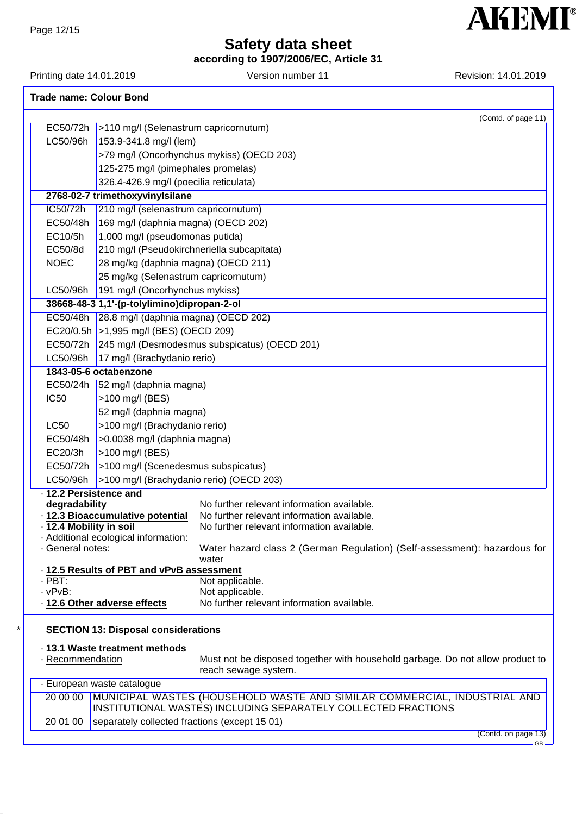**according to 1907/2006/EC, Article 31**

Printing date 14.01.2019 **Version number 11** Nevision: 14.01.2019

|                                        |                                                                            | (Contd. of page 11)                                                                                                                        |
|----------------------------------------|----------------------------------------------------------------------------|--------------------------------------------------------------------------------------------------------------------------------------------|
|                                        | EC50/72h >110 mg/l (Selenastrum capricornutum)                             |                                                                                                                                            |
| LC50/96h                               | $153.9 - 341.8$ mg/l (lem)                                                 |                                                                                                                                            |
|                                        |                                                                            | >79 mg/l (Oncorhynchus mykiss) (OECD 203)                                                                                                  |
|                                        | 125-275 mg/l (pimephales promelas)                                         |                                                                                                                                            |
|                                        | 326.4-426.9 mg/l (poecilia reticulata)                                     |                                                                                                                                            |
|                                        | 2768-02-7 trimethoxyvinylsilane                                            |                                                                                                                                            |
| IC50/72h                               | 210 mg/l (selenastrum capricornutum)                                       |                                                                                                                                            |
| EC50/48h                               | 169 mg/l (daphnia magna) (OECD 202)                                        |                                                                                                                                            |
| EC10/5h                                | 1,000 mg/l (pseudomonas putida)                                            |                                                                                                                                            |
| EC50/8d                                | 210 mg/l (Pseudokirchneriella subcapitata)                                 |                                                                                                                                            |
| <b>NOEC</b>                            | 28 mg/kg (daphnia magna) (OECD 211)                                        |                                                                                                                                            |
|                                        | 25 mg/kg (Selenastrum capricornutum)                                       |                                                                                                                                            |
| LC50/96h                               | 191 mg/l (Oncorhynchus mykiss)                                             |                                                                                                                                            |
|                                        | 38668-48-3 1,1'-(p-tolylimino)dipropan-2-ol                                |                                                                                                                                            |
|                                        | EC50/48h 28.8 mg/l (daphnia magna) (OECD 202)                              |                                                                                                                                            |
|                                        | EC20/0.5h   > 1,995 mg/l (BES) (OECD 209)                                  |                                                                                                                                            |
|                                        |                                                                            | EC50/72h 245 mg/l (Desmodesmus subspicatus) (OECD 201)                                                                                     |
| LC50/96h                               | 17 mg/l (Brachydanio rerio)                                                |                                                                                                                                            |
|                                        | 1843-05-6 octabenzone                                                      |                                                                                                                                            |
|                                        | EC50/24h 52 mg/l (daphnia magna)                                           |                                                                                                                                            |
| <b>IC50</b>                            | >100 mg/l (BES)                                                            |                                                                                                                                            |
|                                        |                                                                            |                                                                                                                                            |
|                                        | 52 mg/l (daphnia magna)                                                    |                                                                                                                                            |
| <b>LC50</b>                            | >100 mg/l (Brachydanio rerio)                                              |                                                                                                                                            |
| EC50/48h                               | $\vert$ >0.0038 mg/l (daphnia magna)                                       |                                                                                                                                            |
| EC20/3h                                | >100 mg/l (BES)                                                            |                                                                                                                                            |
|                                        | EC50/72h   > 100 mg/l (Scenedesmus subspicatus)                            |                                                                                                                                            |
| LC50/96h                               | >100 mg/l (Brachydanio rerio) (OECD 203)                                   |                                                                                                                                            |
| · 12.2 Persistence and                 |                                                                            |                                                                                                                                            |
| degradability                          | - 12.3 Bioaccumulative potential                                           | No further relevant information available.<br>No further relevant information available.                                                   |
| · 12.4 Mobility in soil                |                                                                            | No further relevant information available.                                                                                                 |
|                                        | · Additional ecological information:                                       |                                                                                                                                            |
| · General notes:                       |                                                                            | Water hazard class 2 (German Regulation) (Self-assessment): hazardous for<br>water                                                         |
|                                        | · 12.5 Results of PBT and vPvB assessment                                  |                                                                                                                                            |
|                                        |                                                                            |                                                                                                                                            |
|                                        |                                                                            |                                                                                                                                            |
| · PBT:<br>· vPvB:                      | · 12.6 Other adverse effects<br><b>SECTION 13: Disposal considerations</b> | Not applicable.<br>Not applicable.<br>No further relevant information available.                                                           |
|                                        | · 13.1 Waste treatment methods                                             |                                                                                                                                            |
| · Recommendation                       |                                                                            | Must not be disposed together with household garbage. Do not allow product to<br>reach sewage system.                                      |
| · European waste catalogue<br>20 00 00 |                                                                            |                                                                                                                                            |
|                                        |                                                                            | MUNICIPAL WASTES (HOUSEHOLD WASTE AND SIMILAR COMMERCIAL, INDUSTRIAL AND<br>INSTITUTIONAL WASTES) INCLUDING SEPARATELY COLLECTED FRACTIONS |
|                                        |                                                                            |                                                                                                                                            |
| 20 01 00                               | separately collected fractions (except 15 01)                              |                                                                                                                                            |

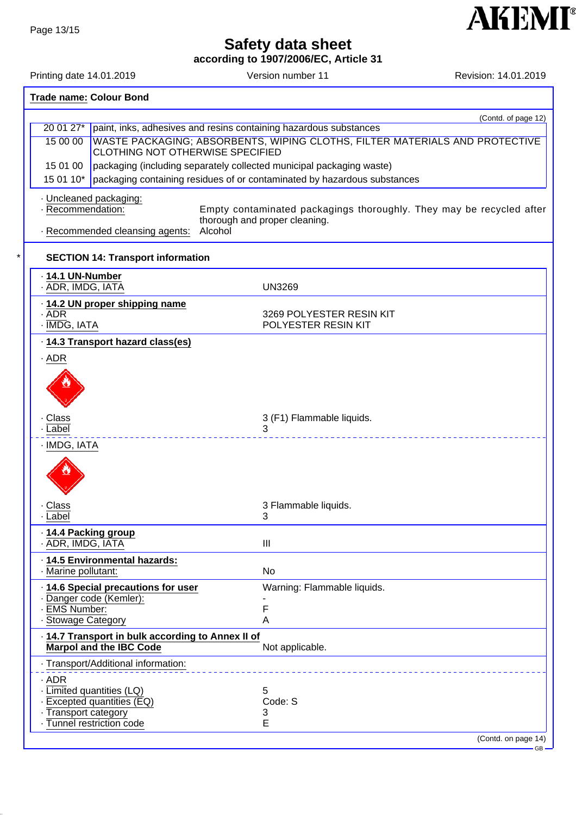**according to 1907/2006/EC, Article 31**

Printing date 14.01.2019 **Version number 11** Revision: 14.01.2019

**AKEMI®** 

|                                                                                   | <b>Trade name: Colour Bond</b>          |                                          |                                                                                                       |  |
|-----------------------------------------------------------------------------------|-----------------------------------------|------------------------------------------|-------------------------------------------------------------------------------------------------------|--|
|                                                                                   |                                         | (Contd. of page 12)                      |                                                                                                       |  |
|                                                                                   |                                         |                                          | 20 01 27* paint, inks, adhesives and resins containing hazardous substances                           |  |
|                                                                                   | 15 00 00                                | <b>CLOTHING NOT OTHERWISE SPECIFIED</b>  | WASTE PACKAGING; ABSORBENTS, WIPING CLOTHS, FILTER MATERIALS AND PROTECTIVE                           |  |
|                                                                                   | 15 01 00                                |                                          | packaging (including separately collected municipal packaging waste)                                  |  |
|                                                                                   | 15 01 10*                               |                                          | packaging containing residues of or contaminated by hazardous substances                              |  |
|                                                                                   | · Recommendation:                       | · Uncleaned packaging:                   | Empty contaminated packagings thoroughly. They may be recycled after<br>thorough and proper cleaning. |  |
|                                                                                   |                                         | - Recommended cleansing agents:          | Alcohol                                                                                               |  |
|                                                                                   |                                         | <b>SECTION 14: Transport information</b> |                                                                                                       |  |
|                                                                                   | 14.1 UN-Number<br>- ADR, IMDG, IATA     |                                          | <b>UN3269</b>                                                                                         |  |
|                                                                                   | . ADR<br>· IMDG, IATA                   | 14.2 UN proper shipping name             | 3269 POLYESTER RESIN KIT<br>POLYESTER RESIN KIT                                                       |  |
|                                                                                   |                                         | . 14.3 Transport hazard class(es)        |                                                                                                       |  |
|                                                                                   | $.$ ADR                                 |                                          |                                                                                                       |  |
|                                                                                   | · Class<br>. Label                      |                                          | 3 (F1) Flammable liquids.<br>3                                                                        |  |
|                                                                                   | · IMDG, IATA                            |                                          |                                                                                                       |  |
|                                                                                   |                                         |                                          |                                                                                                       |  |
|                                                                                   | Class<br>Label                          |                                          | 3 Flammable liquids.<br>3                                                                             |  |
|                                                                                   | 14.4 Packing group<br>· ADR, IMDG, IATA |                                          | $\mathbf{III}$                                                                                        |  |
|                                                                                   |                                         | · 14.5 Environmental hazards:            |                                                                                                       |  |
|                                                                                   | · Marine pollutant:                     |                                          | No                                                                                                    |  |
|                                                                                   |                                         | 14.6 Special precautions for user        | Warning: Flammable liquids.                                                                           |  |
|                                                                                   | - EMS Number:                           | · Danger code (Kemler):                  | F                                                                                                     |  |
|                                                                                   | · Stowage Category                      |                                          | Α                                                                                                     |  |
| 14.7 Transport in bulk according to Annex II of<br><b>Marpol and the IBC Code</b> |                                         | Not applicable.                          |                                                                                                       |  |
|                                                                                   |                                         | · Transport/Additional information:      |                                                                                                       |  |
|                                                                                   | $.$ ADR                                 |                                          |                                                                                                       |  |
|                                                                                   |                                         | · Limited quantities (LQ)                | 5                                                                                                     |  |
|                                                                                   |                                         | · Excepted quantities (EQ)               | Code: S                                                                                               |  |
|                                                                                   | - Transport category                    | Tunnel restriction code                  | 3<br>Е                                                                                                |  |
|                                                                                   |                                         |                                          | (Contd. on page 14)                                                                                   |  |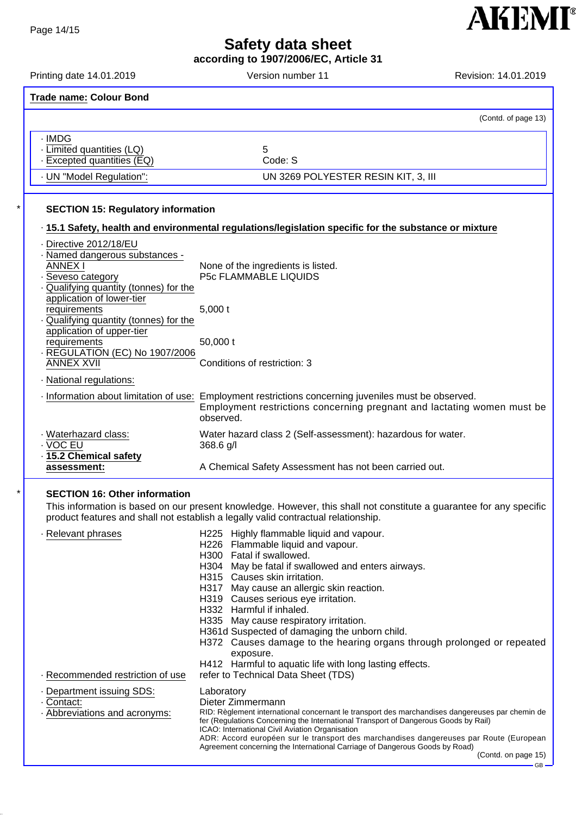**according to 1907/2006/EC, Article 31**

| Printing date 14.01.2019                                                                                                                                                                                                     | Version number 11                                                                                                                                                                                                                                                                                                                                                                                                                                                                                                                                                                                   | Revision: 14.01.2019 |
|------------------------------------------------------------------------------------------------------------------------------------------------------------------------------------------------------------------------------|-----------------------------------------------------------------------------------------------------------------------------------------------------------------------------------------------------------------------------------------------------------------------------------------------------------------------------------------------------------------------------------------------------------------------------------------------------------------------------------------------------------------------------------------------------------------------------------------------------|----------------------|
| <b>Trade name: Colour Bond</b>                                                                                                                                                                                               |                                                                                                                                                                                                                                                                                                                                                                                                                                                                                                                                                                                                     |                      |
|                                                                                                                                                                                                                              |                                                                                                                                                                                                                                                                                                                                                                                                                                                                                                                                                                                                     | (Contd. of page 13)  |
| · IMDG<br>· Limited quantities (LQ)<br>Excepted quantities (EQ)                                                                                                                                                              | 5<br>Code: S                                                                                                                                                                                                                                                                                                                                                                                                                                                                                                                                                                                        |                      |
| - UN "Model Regulation":                                                                                                                                                                                                     | UN 3269 POLYESTER RESIN KIT, 3, III                                                                                                                                                                                                                                                                                                                                                                                                                                                                                                                                                                 |                      |
| <b>SECTION 15: Regulatory information</b>                                                                                                                                                                                    | · 15.1 Safety, health and environmental regulations/legislation specific for the substance or mixture                                                                                                                                                                                                                                                                                                                                                                                                                                                                                               |                      |
| - Directive 2012/18/EU<br>- Named dangerous substances -<br><b>ANNEX I</b><br>· Seveso category<br>Qualifying quantity (tonnes) for the<br>application of lower-tier<br>requirements<br>Oualifying quantity (tonnes) for the | None of the ingredients is listed.<br><b>P5c FLAMMABLE LIQUIDS</b><br>5,000t                                                                                                                                                                                                                                                                                                                                                                                                                                                                                                                        |                      |
| application of upper-tier<br>requirements<br>- REGULATION (EC) No 1907/2006<br><b>ANNEX XVII</b><br>· National regulations:                                                                                                  | 50,000 t<br>Conditions of restriction: 3                                                                                                                                                                                                                                                                                                                                                                                                                                                                                                                                                            |                      |
| Information about limitation of use:                                                                                                                                                                                         | Employment restrictions concerning juveniles must be observed.<br>Employment restrictions concerning pregnant and lactating women must be<br>observed.                                                                                                                                                                                                                                                                                                                                                                                                                                              |                      |
| · Waterhazard class:<br>$\overline{\cdot}$ VOC EU<br>- 15.2 Chemical safety                                                                                                                                                  | Water hazard class 2 (Self-assessment): hazardous for water.<br>368.6 g/l                                                                                                                                                                                                                                                                                                                                                                                                                                                                                                                           |                      |
| assessment:                                                                                                                                                                                                                  | A Chemical Safety Assessment has not been carried out.                                                                                                                                                                                                                                                                                                                                                                                                                                                                                                                                              |                      |
| <b>SECTION 16: Other information</b>                                                                                                                                                                                         | This information is based on our present knowledge. However, this shall not constitute a guarantee for any specific<br>product features and shall not establish a legally valid contractual relationship.                                                                                                                                                                                                                                                                                                                                                                                           |                      |
| · Relevant phrases<br>- Recommended restriction of use                                                                                                                                                                       | H225 Highly flammable liquid and vapour.<br>H226 Flammable liquid and vapour.<br>H300 Fatal if swallowed.<br>H304 May be fatal if swallowed and enters airways.<br>H315 Causes skin irritation.<br>H317 May cause an allergic skin reaction.<br>H319 Causes serious eye irritation.<br>H332 Harmful if inhaled.<br>H335 May cause respiratory irritation.<br>H361d Suspected of damaging the unborn child.<br>H372 Causes damage to the hearing organs through prolonged or repeated<br>exposure.<br>H412 Harmful to aquatic life with long lasting effects.<br>refer to Technical Data Sheet (TDS) |                      |
| Department issuing SDS:<br>Contact:<br>· Abbreviations and acronyms:                                                                                                                                                         | Laboratory<br>Dieter Zimmermann<br>RID: Règlement international concernant le transport des marchandises dangereuses par chemin de<br>fer (Regulations Concerning the International Transport of Dangerous Goods by Rail)<br>ICAO: International Civil Aviation Organisation<br>ADR: Accord européen sur le transport des marchandises dangereuses par Route (European<br>Agreement concerning the International Carriage of Dangerous Goods by Road)                                                                                                                                               |                      |

**AKEMI**<sup>®</sup>